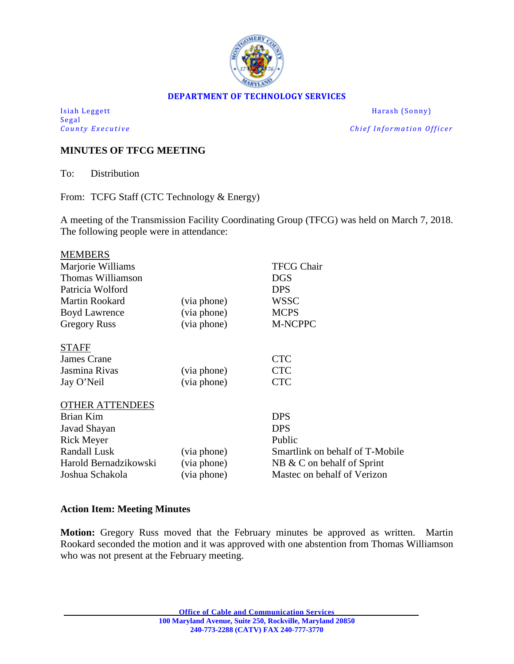

#### **DEPARTMENT OF TECHNOLOGY SERVICES**

Isiah Leggett Harash (Sonny) Segal<br>County Executive

*Chief Information Officer* 

## **MINUTES OF TFCG MEETING**

To: Distribution

From: TCFG Staff (CTC Technology & Energy)

A meeting of the Transmission Facility Coordinating Group (TFCG) was held on March 7, 2018. The following people were in attendance:

| <b>MEMBERS</b>         |             |                                 |
|------------------------|-------------|---------------------------------|
| Marjorie Williams      |             | <b>TFCG Chair</b>               |
| Thomas Williamson      |             | DGS                             |
| Patricia Wolford       |             | <b>DPS</b>                      |
| <b>Martin Rookard</b>  | (via phone) | WSSC                            |
| <b>Boyd Lawrence</b>   | (via phone) | <b>MCPS</b>                     |
| <b>Gregory Russ</b>    | (via phone) | <b>M-NCPPC</b>                  |
| <b>STAFF</b>           |             |                                 |
| James Crane            |             | <b>CTC</b>                      |
| Jasmina Rivas          | (via phone) | <b>CTC</b>                      |
| Jay O'Neil             | (via phone) | <b>CTC</b>                      |
| <b>OTHER ATTENDEES</b> |             |                                 |
| Brian Kim              |             | <b>DPS</b>                      |
| Javad Shayan           |             | <b>DPS</b>                      |
| <b>Rick Meyer</b>      |             | Public                          |
| <b>Randall Lusk</b>    | (via phone) | Smartlink on behalf of T-Mobile |
| Harold Bernadzikowski  | (via phone) | $NB & C$ on behalf of Sprint    |
| Joshua Schakola        | (via phone) | Mastec on behalf of Verizon     |
|                        |             |                                 |

#### **Action Item: Meeting Minutes**

**Motion:** Gregory Russ moved that the February minutes be approved as written. Martin Rookard seconded the motion and it was approved with one abstention from Thomas Williamson who was not present at the February meeting.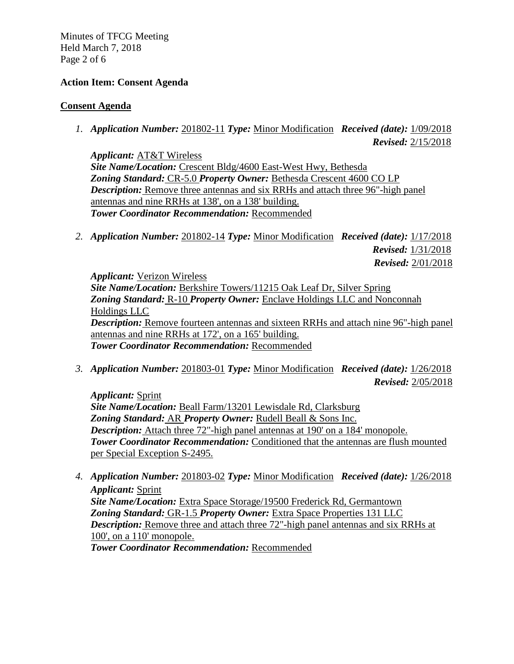Minutes of TFCG Meeting Held March 7, 2018 Page 2 of 6

#### **Action Item: Consent Agenda**

### **Consent Agenda**

*1. Application Number:* 201802-11 *Type:* Minor Modification *Received (date):* 1/09/2018 *Revised:* 2/15/2018

*Applicant:* AT&T Wireless *Site Name/Location:* Crescent Bldg/4600 East-West Hwy, Bethesda *Zoning Standard:* CR-5.0 *Property Owner:* Bethesda Crescent 4600 CO LP *Description:* Remove three antennas and six RRHs and attach three 96"-high panel antennas and nine RRHs at 138', on a 138' building. *Tower Coordinator Recommendation:* Recommended

*2. Application Number:* 201802-14 *Type:* Minor Modification *Received (date):* 1/17/2018 *Revised:* 1/31/2018  *Revised:* 2/01/2018

*Applicant:* Verizon Wireless *Site Name/Location:* Berkshire Towers/11215 Oak Leaf Dr, Silver Spring *Zoning Standard:* R-10 *Property Owner:* Enclave Holdings LLC and Nonconnah Holdings LLC *Description:* Remove fourteen antennas and sixteen RRHs and attach nine 96"-high panel antennas and nine RRHs at 172', on a 165' building. *Tower Coordinator Recommendation:* Recommended

*3. Application Number:* 201803-01 *Type:* Minor Modification *Received (date):* 1/26/2018 *Revised:* 2/05/2018

*Applicant:* Sprint *Site Name/Location:* Beall Farm/13201 Lewisdale Rd, Clarksburg *Zoning Standard:* AR *Property Owner:* Rudell Beall & Sons Inc. *Description:* Attach three 72"-high panel antennas at 190' on a 184' monopole. *Tower Coordinator Recommendation:* Conditioned that the antennas are flush mounted per Special Exception S-2495.

*4. Application Number:* 201803-02 *Type:* Minor Modification *Received (date):* 1/26/2018 *Applicant:* Sprint *Site Name/Location:* Extra Space Storage/19500 Frederick Rd, Germantown *Zoning Standard:* GR-1.5 *Property Owner:* Extra Space Properties 131 LLC

*Description:* Remove three and attach three 72"-high panel antennas and six RRHs at 100', on a 110' monopole.

*Tower Coordinator Recommendation:* Recommended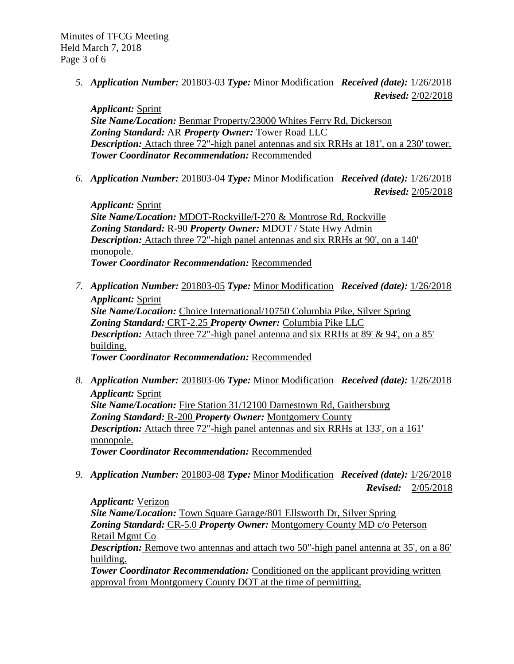*5. Application Number:* 201803-03 *Type:* Minor Modification *Received (date):* 1/26/2018  *Revised:* 2/02/2018

*Applicant:* Sprint *Site Name/Location:* Benmar Property/23000 Whites Ferry Rd, Dickerson *Zoning Standard:* AR *Property Owner:* Tower Road LLC *Description:* Attach three 72"-high panel antennas and six RRHs at 181', on a 230' tower. *Tower Coordinator Recommendation:* Recommended

*6. Application Number:* 201803-04 *Type:* Minor Modification *Received (date):* 1/26/2018

 *Revised:* 2/05/2018

*Applicant:* Sprint *Site Name/Location:* MDOT-Rockville/I-270 & Montrose Rd, Rockville *Zoning Standard:* R-90 *Property Owner:* MDOT / State Hwy Admin *Description:* Attach three 72"-high panel antennas and six RRHs at 90', on a 140' monopole. *Tower Coordinator Recommendation:* Recommended

- *7. Application Number:* 201803-05 *Type:* Minor Modification *Received (date):* 1/26/2018 *Applicant:* Sprint *Site Name/Location:* Choice International/10750 Columbia Pike, Silver Spring *Zoning Standard:* CRT-2.25 *Property Owner:* Columbia Pike LLC *Description:* Attach three 72"-high panel antenna and six RRHs at 89' & 94', on a 85' building. *Tower Coordinator Recommendation:* Recommended
- *8. Application Number:* 201803-06 *Type:* Minor Modification *Received (date):* 1/26/2018 *Applicant:* Sprint *Site Name/Location:* Fire Station 31/12100 Darnestown Rd, Gaithersburg *Zoning Standard:* R-200 *Property Owner:* Montgomery County *Description:* Attach three 72"-high panel antennas and six RRHs at 133', on a 161' monopole. *Tower Coordinator Recommendation:* Recommended
- *9. Application Number:* 201803-08 *Type:* Minor Modification *Received (date):* 1/26/2018 *Revised:* 2/05/2018

*Applicant:* Verizon *Site Name/Location:* Town Square Garage/801 Ellsworth Dr, Silver Spring *Zoning Standard:* CR-5.0 *Property Owner:* Montgomery County MD c/o Peterson Retail Mgmt Co *Description:* Remove two antennas and attach two 50"-high panel antenna at 35', on a 86'

building.

*Tower Coordinator Recommendation:* Conditioned on the applicant providing written approval from Montgomery County DOT at the time of permitting.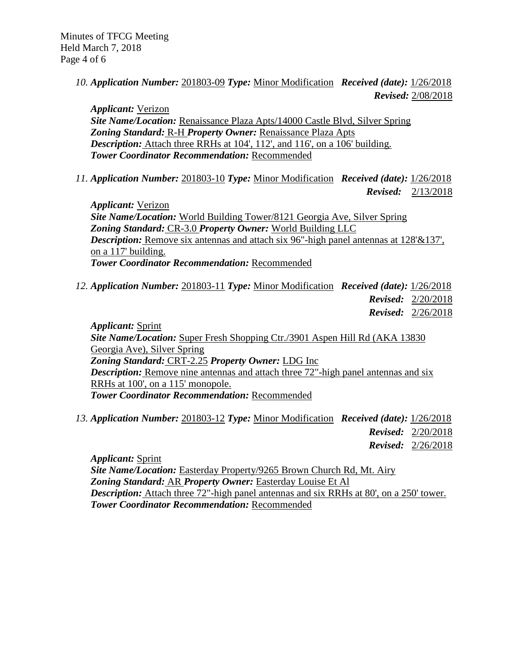*10. Application Number:* 201803-09 *Type:* Minor Modification *Received (date):* 1/26/2018  *Revised:* 2/08/2018

*Applicant:* Verizon *Site Name/Location:* Renaissance Plaza Apts/14000 Castle Blvd, Silver Spring *Zoning Standard:* R-H *Property Owner:* Renaissance Plaza Apts *Description:* Attach three RRHs at 104', 112', and 116', on a 106' building. *Tower Coordinator Recommendation:* Recommended

*11. Application Number:* 201803-10 *Type:* Minor Modification *Received (date):* 1/26/2018

*Revised:* 2/13/2018

*Applicant:* Verizon *Site Name/Location:* World Building Tower/8121 Georgia Ave, Silver Spring *Zoning Standard:* CR-3.0 *Property Owner:* World Building LLC *Description:* Remove six antennas and attach six 96"-high panel antennas at 128'&137', on a 117' building. *Tower Coordinator Recommendation:* Recommended

*12. Application Number:* 201803-11 *Type:* Minor Modification *Received (date):* 1/26/2018 *Revised:* 2/20/2018 *Revised:* 2/26/2018

*Applicant:* Sprint *Site Name/Location:* Super Fresh Shopping Ctr./3901 Aspen Hill Rd (AKA 13830 Georgia Ave), Silver Spring *Zoning Standard:* CRT-2.25 *Property Owner:* LDG Inc *Description:* Remove nine antennas and attach three 72"-high panel antennas and six RRHs at 100', on a 115' monopole. *Tower Coordinator Recommendation:* Recommended

*13. Application Number:* 201803-12 *Type:* Minor Modification *Received (date):* 1/26/2018 *Revised:* 2/20/2018 *Revised:* 2/26/2018

*Applicant:* Sprint *Site Name/Location:* Easterday Property/9265 Brown Church Rd, Mt. Airy *Zoning Standard:* AR *Property Owner:* Easterday Louise Et Al *Description:* Attach three 72"-high panel antennas and six RRHs at 80', on a 250' tower. *Tower Coordinator Recommendation:* Recommended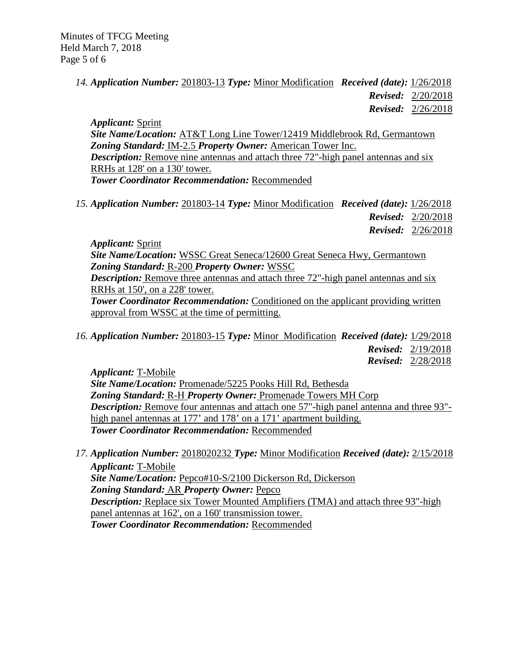*14. Application Number:* 201803-13 *Type:* Minor Modification *Received (date):* 1/26/2018 *Revised:* 2/20/2018 *Revised:* 2/26/2018

*Applicant:* Sprint *Site Name/Location:* AT&T Long Line Tower/12419 Middlebrook Rd, Germantown *Zoning Standard:* IM-2.5 *Property Owner:* American Tower Inc. *Description:* Remove nine antennas and attach three 72"-high panel antennas and six RRHs at 128' on a 130' tower. *Tower Coordinator Recommendation:* Recommended

*15. Application Number:* 201803-14 *Type:* Minor Modification *Received (date):* 1/26/2018 *Revised:* 2/20/2018

*Revised:* 2/26/2018

*Applicant:* Sprint

*Site Name/Location:* WSSC Great Seneca/12600 Great Seneca Hwy, Germantown *Zoning Standard:* R-200 *Property Owner:* WSSC *Description:* Remove three antennas and attach three 72"-high panel antennas and six

RRHs at 150', on a 228' tower.

**Tower Coordinator Recommendation:** Conditioned on the applicant providing written approval from WSSC at the time of permitting.

*16. Application Number:* 201803-15 *Type:* Minor Modification *Received (date):* 1/29/2018  *Revised:* 2/19/2018  *Revised:* 2/28/2018

*Applicant:* T-Mobile *Site Name/Location:* Promenade/5225 Pooks Hill Rd, Bethesda *Zoning Standard:* R-H *Property Owner:* Promenade Towers MH Corp *Description:* Remove four antennas and attach one 57"-high panel antenna and three 93"high panel antennas at 177<sup>'</sup> and 178<sup>'</sup> on a 171<sup>'</sup> apartment building. *Tower Coordinator Recommendation:* Recommended

*17. Application Number:* 2018020232 *Type:* Minor Modification *Received (date):* 2/15/2018 *Applicant:* T-Mobile *Site Name/Location:* Pepco#10-S/2100 Dickerson Rd, Dickerson *Zoning Standard:* AR *Property Owner:* Pepco *Description:* Replace six Tower Mounted Amplifiers (TMA) and attach three 93"-high panel antennas at 162', on a 160' transmission tower. *Tower Coordinator Recommendation:* Recommended